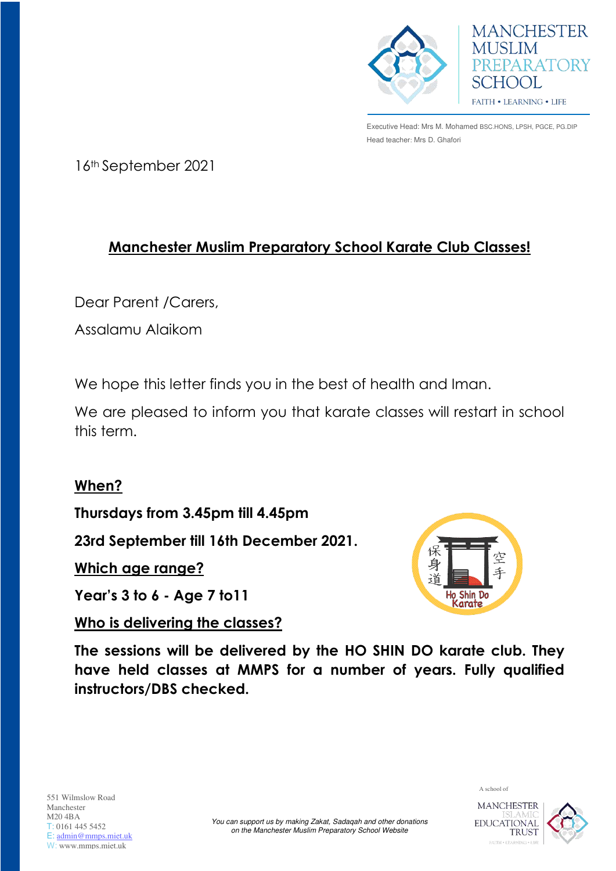

Executive Head: Mrs M. Mohamed BSC.HONS, LPSH, PGCE, PG.DIP Head teacher: Mrs D. Ghafori

**MANCHESTER** 

PREPARATORY

**MUSLIM** 

SCHOOL

FAITH . LEARNING . LIFE

16th September 2021

## **Manchester Muslim Preparatory School Karate Club Classes!**

Dear Parent /Carers,

Assalamu Alaikom

We hope this letter finds you in the best of health and Iman.

We are pleased to inform you that karate classes will restart in school this term.

## **When?**

**Thursdays from 3.45pm till 4.45pm**

**23rd September till 16th December 2021.** 

**Which age range?** 

**Year's 3 to 6 - Age 7 to11** 

**Who is delivering the classes?** 



**The sessions will be delivered by the HO SHIN DO karate club. They have held classes at MMPS for a number of years. Fully qualified instructors/DBS checked.**



A school of